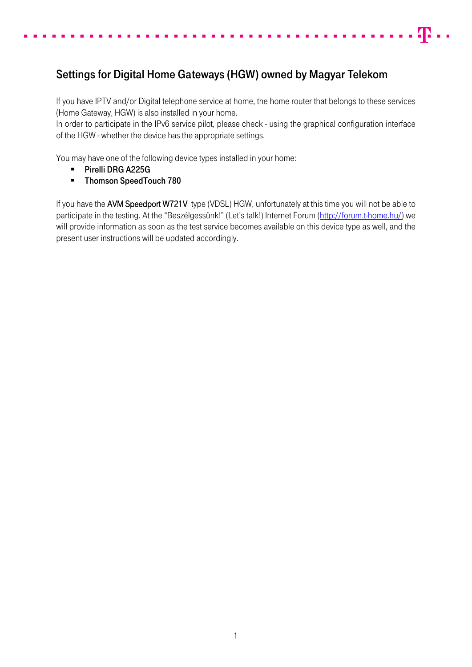## Settings for Digital Home Gateways (HGW) owned by Magyar Telekom

If you have IPTV and/or Digital telephone service at home, the home router that belongs to these services (Home Gateway, HGW) is also installed in your home.

. -ը. . .

In order to participate in the IPv6 service pilot, please check - using the graphical configuration interface of the HGW - whether the device has the appropriate settings.

You may have one of the following device types installed in your home:

- **Pirelli DRG A225G**
- **Thomson SpeedTouch 780**

If you have the AVM Speedport W721V type (VDSL) HGW, unfortunately at this time you will not be able to participate in the testing. At the "Beszélgessünk!" (Let's talk!) Internet Forum ([http://forum.t-home.hu/\)](http://forum.t-home.hu/) we will provide information as soon as the test service becomes available on this device type as well, and the present user instructions will be updated accordingly.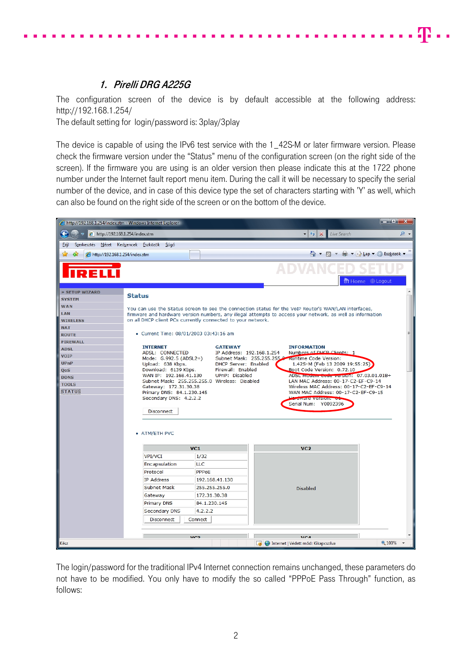## 1. Pirelli DRG A225G

<span id="page-1-0"></span>The configuration screen of the device is by default accessible at the following address: http://192.168.1.254/

40 - L

The default setting for login/password is: 3play/3play

The device is capable of using the IPv6 test service with the 1 42S-M or later firmware version. Please check the firmware version under the "Status" menu of the configuration screen (on the right side of the screen). If the firmware you are using is an older version then please indicate this at the 1722 phone number under the Internet fault report menu item. During the call it will be necessary to specify the serial number of the device, and in case of this device type the set of characters starting with 'Y' as well, which can also be found on the right side of the screen or on the bottom of the device.



The login/password for the traditional IPv4 Internet connection remains unchanged, these parameters do not have to be modified. You only have to modify the so called "PPPoE Pass Through" function, as follows: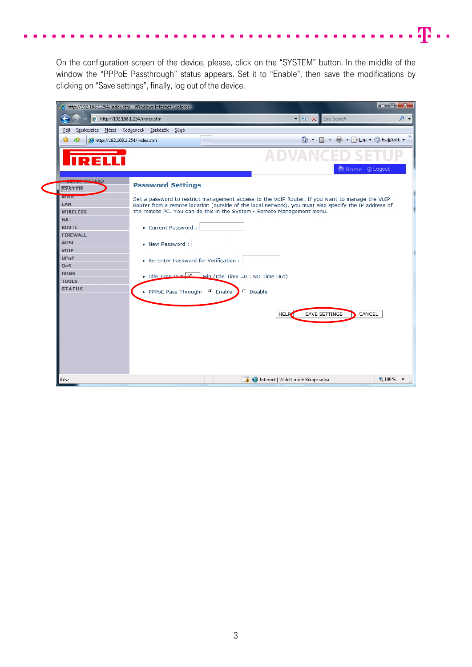On the configuration screen of the device, please, click on the "SYSTEM" button. In the middle of the window the "PPPoE Passthrough" status appears. Set it to "Enable", then save the modifications by clicking on "Save settings", finally, log out of the device.

æ.,